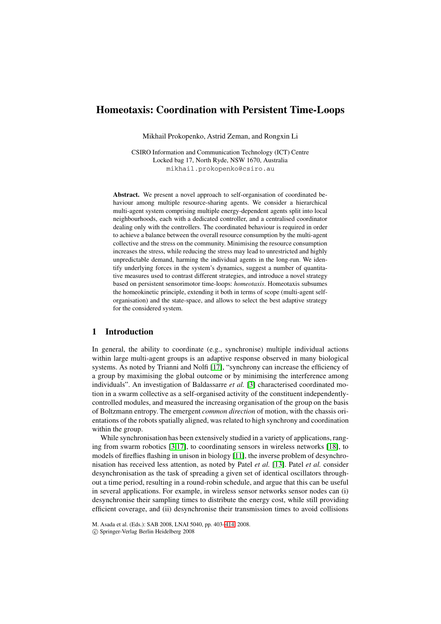# **Homeotaxis: Coordination with Persistent Time-Loops**

Mikhail Prokopenko, Astrid Zeman, and Rongxin Li

CSIRO Information and Communication Technology (ICT) Centre Locked bag 17, North Ryde, NSW 1670, Australia mikhail.prokopenko@csiro.au

**Abstract.** We present a novel approach to self-organisation of coordinated behaviour among multiple resource-sharing agents. We consider a hierarchical multi-agent system comprising multiple energy-dependent agents split into local neighbourhoods, each with a dedicated controller, and a centralised coordinator dealing only with the controllers. The coordinated behaviour is required in order to achieve a balance between the overall resource consumption by the multi-agent collective and the stress on the community. Minimising the resource consumption increases the stress, while reducing the stress may lead to unrestricted and highly unpredictable demand, harming the individual agents in the long-run. We identify underlying forces in the system's dynamics, suggest a number of quantitative measures used to contrast different strategies, and introduce a novel strategy based on persistent sensorimotor time-loops: *homeotaxis*. Homeotaxis subsumes the homeokinetic principle, extending it both in terms of scope (multi-agent selforganisation) and the state-space, and allows to select the best adaptive strategy for the considered system.

## **1 Introduction**

In general, the ability to coordinate (e.g., synchronise) multiple individual actions within large multi-agent groups is an adaptive response observed in many biological systems. As noted by Trianni and Nolfi [\[17\]](#page-11-0), "synchrony can increase the efficiency of a group by maximising the global outcome or by minimising the interference among individuals". An investigation of Baldassarre *et al.* [\[3\]](#page-10-0) characterised coordinated motion in a swarm collective as a self-organised activity of the constituent independentlycontrolled modules, and measured the increasing organisation of the group on the basis of Boltzmann entropy. The emergent *common direction* of motion, with the chassis orientations of the robots spatially aligned, was related to high synchrony and coordination within the group.

While synchronisation has been extensively studied in a variety of applications, ranging from swarm robotics [\[3](#page-10-0)[,17\]](#page-11-0), to coordinating sensors in wireless networks [\[18\]](#page-11-1), to models of fireflies flashing in unison in biology [\[11\]](#page-10-1), the inverse problem of desynchronisation has received less attention, as noted by Patel *et al.* [\[13\]](#page-11-2). Patel *et al.* consider desynchronisation as the task of spreading a given set of identical oscillators throughout a time period, resulting in a round-robin schedule, and argue that this can be useful in several applications. For example, in wireless sensor networks sensor nodes can (i) desynchronise their sampling times to distribute the energy cost, while still providing efficient coverage, and (ii) desynchronise their transmission times to avoid collisions

M. Asada et al. (Eds.): SAB 2008, LNAI 5040, pp. 403[–414,](#page-10-2) 2008.

<sup>-</sup>c Springer-Verlag Berlin Heidelberg 2008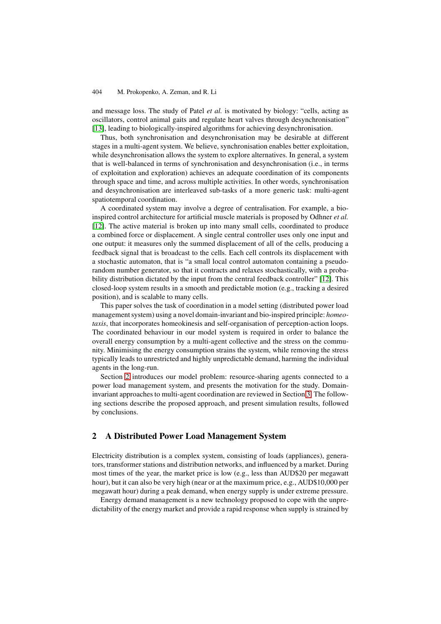and message loss. The study of Patel *et al.* is motivated by biology: "cells, acting as oscillators, control animal gaits and regulate heart valves through desynchronisation" [\[13\]](#page-11-2), leading to biologically-inspired algorithms for achieving desynchronisation.

Thus, both synchronisation and desynchronisation may be desirable at different stages in a multi-agent system. We believe, synchronisation enables better exploitation, while desynchronisation allows the system to explore alternatives. In general, a system that is well-balanced in terms of synchronisation and desynchronisation (i.e., in terms of exploitation and exploration) achieves an adequate coordination of its components through space and time, and across multiple activities. In other words, synchronisation and desynchronisation are interleaved sub-tasks of a more generic task: multi-agent spatiotemporal coordination.

A coordinated system may involve a degree of centralisation. For example, a bioinspired control architecture for artificial muscle materials is proposed by Odhner *et al.* [\[12\]](#page-10-3). The active material is broken up into many small cells, coordinated to produce a combined force or displacement. A single central controller uses only one input and one output: it measures only the summed displacement of all of the cells, producing a feedback signal that is broadcast to the cells. Each cell controls its displacement with a stochastic automaton, that is "a small local control automaton containing a pseudorandom number generator, so that it contracts and relaxes stochastically, with a probability distribution dictated by the input from the central feedback controller" [\[12\]](#page-10-3). This closed-loop system results in a smooth and predictable motion (e.g., tracking a desired position), and is scalable to many cells.

This paper solves the task of coordination in a model setting (distributed power load management system) using a novel domain-invariant and bio-inspired principle: *homeotaxis*, that incorporates homeokinesis and self-organisation of perception-action loops. The coordinated behaviour in our model system is required in order to balance the overall energy consumption by a multi-agent collective and the stress on the community. Minimising the energy consumption strains the system, while removing the stress typically leads to unrestricted and highly unpredictable demand, harming the individual agents in the long-run.

Section [2](#page-1-0) introduces our model problem: resource-sharing agents connected to a power load management system, and presents the motivation for the study. Domaininvariant approaches to multi-agent coordination are reviewed in Section [3.](#page-3-0) The following sections describe the proposed approach, and present simulation results, followed by conclusions.

## <span id="page-1-0"></span>**2 A Distributed Power Load Management System**

Electricity distribution is a complex system, consisting of loads (appliances), generators, transformer stations and distribution networks, and influenced by a market. During most times of the year, the market price is low (e.g., less than AUD\$20 per megawatt hour), but it can also be very high (near or at the maximum price, e.g., AUD\$10,000 per megawatt hour) during a peak demand, when energy supply is under extreme pressure.

Energy demand management is a new technology proposed to cope with the unpredictability of the energy market and provide a rapid response when supply is strained by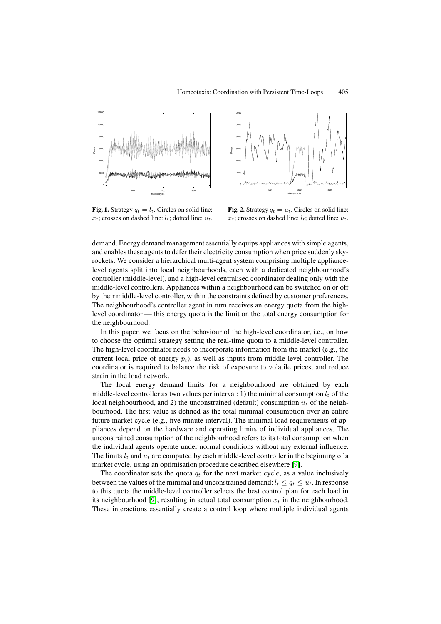

<span id="page-2-0"></span>**Fig. 1.** Strategy  $q_t = l_t$ . Circles on solid line:  $x_t$ ; crosses on dashed line:  $l_t$ ; dotted line:  $u_t$ .



<span id="page-2-1"></span>**Fig. 2.** Strategy  $q_t = u_t$ . Circles on solid line:  $x_t$ ; crosses on dashed line:  $l_t$ ; dotted line:  $u_t$ .

demand. Energy demand management essentially equips appliances with simple agents, and enables these agents to defer their electricity consumption when price suddenly skyrockets. We consider a hierarchical multi-agent system comprising multiple appliancelevel agents split into local neighbourhoods, each with a dedicated neighbourhood's controller (middle-level), and a high-level centralised coordinator dealing only with the middle-level controllers. Appliances within a neighbourhood can be switched on or off by their middle-level controller, within the constraints defined by customer preferences. The neighbourhood's controller agent in turn receives an energy quota from the highlevel coordinator — this energy quota is the limit on the total energy consumption for the neighbourhood.

In this paper, we focus on the behaviour of the high-level coordinator, i.e., on how to choose the optimal strategy setting the real-time quota to a middle-level controller. The high-level coordinator needs to incorporate information from the market (e.g., the current local price of energy p*t*), as well as inputs from middle-level controller. The coordinator is required to balance the risk of exposure to volatile prices, and reduce strain in the load network.

The local energy demand limits for a neighbourhood are obtained by each middle-level controller as two values per interval: 1) the minimal consumption  $l_t$  of the local neighbourhood, and 2) the unconstrained (default) consumption  $u_t$  of the neighbourhood. The first value is defined as the total minimal consumption over an entire future market cycle (e.g., five minute interval). The minimal load requirements of appliances depend on the hardware and operating limits of individual appliances. The unconstrained consumption of the neighbourhood refers to its total consumption when the individual agents operate under normal conditions without any external influence. The limits  $l_t$  and  $u_t$  are computed by each middle-level controller in the beginning of a market cycle, using an optimisation procedure described elsewhere [\[9\]](#page-10-4).

The coordinator sets the quota  $q_t$  for the next market cycle, as a value inclusively between the values of the minimal and unconstrained demand:  $l_t \le q_t \le u_t$ . In response to this quota the middle-level controller selects the best control plan for each load in its neighbourhood [\[9\]](#page-10-4), resulting in actual total consumption  $x_t$  in the neighbourhood. These interactions essentially create a control loop where multiple individual agents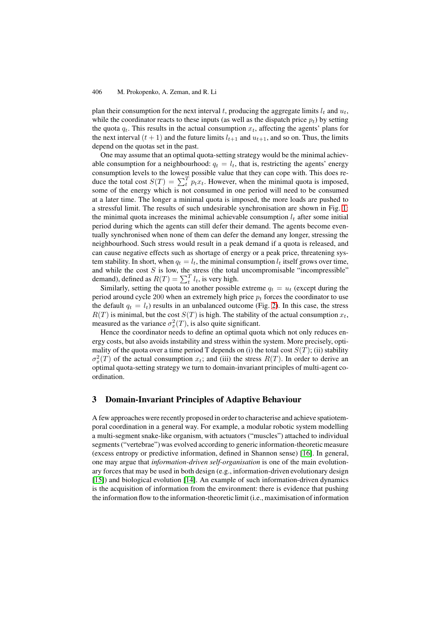plan their consumption for the next interval t, producing the aggregate limits  $l_t$  and  $u_t$ , while the coordinator reacts to these inputs (as well as the dispatch price  $p_t$ ) by setting the quota  $q_t$ . This results in the actual consumption  $x_t$ , affecting the agents' plans for the next interval  $(t + 1)$  and the future limits  $l_{t+1}$  and  $u_{t+1}$ , and so on. Thus, the limits depend on the quotas set in the past.

One may assume that an optimal quota-setting strategy would be the minimal achievable consumption for a neighbourhood:  $q_t = l_t$ , that is, restricting the agents' energy consumption levels to the lowest possible value that they can cope with. This does reduce the total cost  $S(T) = \sum_{t=1}^{T} p_t x_t$ . However, when the minimal quota is imposed, some of the energy which is not consumed in one period will need to be consumed at a later time. The longer a minimal quota is imposed, the more loads are pushed to a stressful limit. The results of such undesirable synchronisation are shown in Fig. [1:](#page-2-0) the minimal quota increases the minimal achievable consumption  $l_t$  after some initial period during which the agents can still defer their demand. The agents become eventually synchronised when none of them can defer the demand any longer, stressing the neighbourhood. Such stress would result in a peak demand if a quota is released, and can cause negative effects such as shortage of energy or a peak price, threatening system stability. In short, when  $q_t = l_t$ , the minimal consumption  $l_t$  itself grows over time, and while the cost  $S$  is low, the stress (the total uncompromisable "incompressible" demand), defined as  $R(T) = \sum_{t}^{T} l_t$ , is very high.

Similarly, setting the quota to another possible extreme  $q_t = u_t$  (except during the period around cycle 200 when an extremely high price  $p_t$  forces the coordinator to use the default  $q_t = l_t$ ) results in an unbalanced outcome (Fig. [2\)](#page-2-1). In this case, the stress  $R(T)$  is minimal, but the cost  $S(T)$  is high. The stability of the actual consumption  $x_t$ , measured as the variance  $\sigma_x^2(T)$ , is also quite significant.

Hence the coordinator needs to define an optimal quota which not only reduces energy costs, but also avoids instability and stress within the system. More precisely, optimality of the quota over a time period T depends on (i) the total cost  $S(T)$ ; (ii) stability  $\sigma_x^2(T)$  of the actual consumption  $x_t$ ; and (iii) the stress  $R(T)$ . In order to derive an optimal quota-setting strategy we turn to domain-invariant principles of multi-agent coordination.

### <span id="page-3-0"></span>**3 Domain-Invariant Principles of Adaptive Behaviour**

A few approaches were recently proposed in order to characterise and achieve spatiotemporal coordination in a general way. For example, a modular robotic system modelling a multi-segment snake-like organism, with actuators ("muscles") attached to individual segments ("vertebrae") was evolved according to generic information-theoretic measure (excess entropy or predictive information, defined in Shannon sense) [\[16\]](#page-11-3). In general, one may argue that *information-driven self-organisation* is one of the main evolutionary forces that may be used in both design (e.g., information-driven evolutionary design [\[15\]](#page-11-4)) and biological evolution [\[14\]](#page-11-5). An example of such information-driven dynamics is the acquisition of information from the environment: there is evidence that pushing the information flow to the information-theoreticlimit (i.e., maximisation of information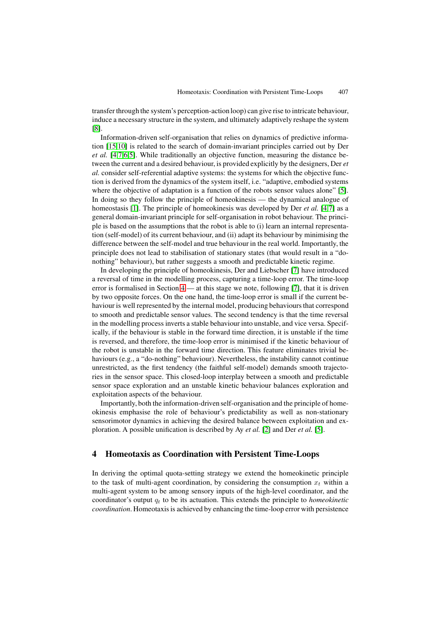transfer through the system's perception-action loop) can give rise to intricate behaviour, induce a necessary structure in the system, and ultimately adaptively reshape the system [\[8\]](#page-10-5).

Information-driven self-organisation that relies on dynamics of predictive information [\[15,](#page-11-4)[10\]](#page-10-6) is related to the search of domain-invariant principles carried out by Der *et al.* [\[4,](#page-10-7)[7,](#page-10-8)[6](#page-10-9)[,5\]](#page-10-10). While traditionally an objective function, measuring the distance between the current and a desired behaviour, is provided explicitly by the designers, Der *et al.* consider self-referential adaptive systems: the systems for which the objective function is derived from the dynamics of the system itself, i.e. "adaptive, embodied systems where the objective of adaptation is a function of the robots sensor values alone" [\[5\]](#page-10-10). In doing so they follow the principle of homeokinesis — the dynamical analogue of homeostasis [\[1\]](#page-10-11). The principle of homeokinesis was developed by Der *et al.* [\[4,](#page-10-7)[7\]](#page-10-8) as a general domain-invariant principle for self-organisation in robot behaviour. The principle is based on the assumptions that the robot is able to (i) learn an internal representation (self-model) of its current behaviour, and (ii) adapt its behaviour by minimising the difference between the self-model and true behaviour in the real world. Importantly, the principle does not lead to stabilisation of stationary states (that would result in a "donothing" behaviour), but rather suggests a smooth and predictable kinetic regime.

In developing the principle of homeokinesis, Der and Liebscher [\[7\]](#page-10-8) have introduced a reversal of time in the modelling process, capturing a time-loop error. The time-loop error is formalised in Section [4](#page-4-0) — at this stage we note, following [\[7\]](#page-10-8), that it is driven by two opposite forces. On the one hand, the time-loop error is small if the current behaviour is well represented by the internal model, producing behaviours that correspond to smooth and predictable sensor values. The second tendency is that the time reversal in the modelling process inverts a stable behaviour into unstable, and vice versa. Specifically, if the behaviour is stable in the forward time direction, it is unstable if the time is reversed, and therefore, the time-loop error is minimised if the kinetic behaviour of the robot is unstable in the forward time direction. This feature eliminates trivial behaviours (e.g., a "do-nothing" behaviour). Nevertheless, the instability cannot continue unrestricted, as the first tendency (the faithful self-model) demands smooth trajectories in the sensor space. This closed-loop interplay between a smooth and predictable sensor space exploration and an unstable kinetic behaviour balances exploration and exploitation aspects of the behaviour.

Importantly, both the information-driven self-organisation and the principle of homeokinesis emphasise the role of behaviour's predictability as well as non-stationary sensorimotor dynamics in achieving the desired balance between exploitation and exploration. A possible unification is described by Ay *et al.* [\[2\]](#page-10-12) and Der *et al.* [\[5\]](#page-10-10).

# <span id="page-4-0"></span>**4 Homeotaxis as Coordination with Persistent Time-Loops**

In deriving the optimal quota-setting strategy we extend the homeokinetic principle to the task of multi-agent coordination, by considering the consumption  $x_t$  within a multi-agent system to be among sensory inputs of the high-level coordinator, and the coordinator's output q*<sup>t</sup>* to be its actuation. This extends the principle to *homeokinetic coordination*. Homeotaxis is achieved by enhancing the time-loop error with persistence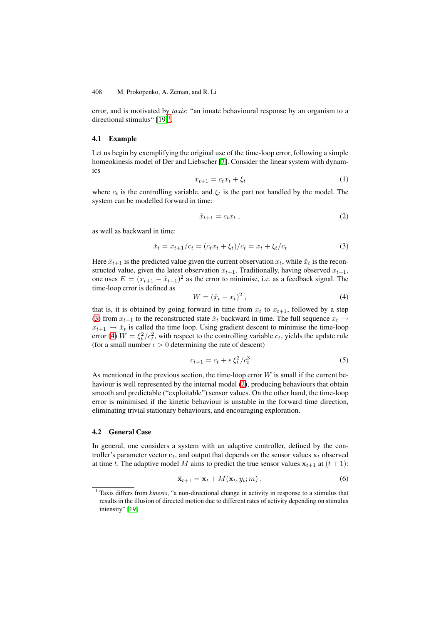error, and is motivated by *taxis*: "an innate behavioural response by an organism to a directional stimulus" [\[19\]](#page-11-6)<sup>1</sup>.

#### **4.1 Example**

Let us begin by exemplifying the original use of the time-loop error, following a simple homeokinesis model of Der and Liebscher [\[7\]](#page-10-8). Consider the linear system with dynamics

$$
x_{t+1} = c_t x_t + \xi_t \tag{1}
$$

where  $c_t$  is the controlling variable, and  $\xi_t$  is the part not handled by the model. The system can be modelled forward in time:

$$
\hat{x}_{t+1} = c_t x_t \,,\tag{2}
$$

<span id="page-5-1"></span>as well as backward in time:

<span id="page-5-3"></span>
$$
\check{x}_t = x_{t+1}/c_t = (c_t x_t + \xi_t)/c_t = x_t + \xi_t/c_t \tag{3}
$$

Here  $\hat{x}_{t+1}$  is the predicted value given the current observation  $x_t$ , while  $\check{x}_t$  is the reconstructed value, given the latest observation  $x_{t+1}$ . Traditionally, having observed  $x_{t+1}$ , one uses  $E = (x_{t+1} - \hat{x}_{t+1})^2$  as the error to minimise, i.e. as a feedback signal. The time-loop error is defined as

$$
W = (\check{x}_t - x_t)^2 \,,\tag{4}
$$

<span id="page-5-2"></span>that is, it is obtained by going forward in time from  $x_t$  to  $x_{t+1}$ , followed by a step [\(3\)](#page-5-1) from  $x_{t+1}$  to the reconstructed state  $\check{x}_t$  backward in time. The full sequence  $x_t \rightarrow$  $x_{t+1} \rightarrow \tilde{x}_t$  is called the time loop. Using gradient descent to minimise the time-loop error [\(4\)](#page-5-2)  $W = \xi_t^2/c_t^2$ , with respect to the controlling variable  $c_t$ , yields the update rule (for a small number  $\epsilon > 0$  determining the rate of descent)

$$
c_{t+1} = c_t + \epsilon \, \xi_t^2 / c_t^3 \tag{5}
$$

<span id="page-5-5"></span>As mentioned in the previous section, the time-loop error  $W$  is small if the current behaviour is well represented by the internal model [\(2\)](#page-5-3), producing behaviours that obtain smooth and predictable ("exploitable") sensor values. On the other hand, the time-loop error is minimised if the kinetic behaviour is unstable in the forward time direction, eliminating trivial stationary behaviours, and encouraging exploration.

### **4.2 General Case**

In general, one considers a system with an adaptive controller, defined by the controller's parameter vector  $\mathbf{c}_t$ , and output that depends on the sensor values  $\mathbf{x}_t$  observed at time t. The adaptive model M aims to predict the true sensor values  $x_{t+1}$  at  $(t+1)$ :

$$
\hat{\mathbf{x}}_{t+1} = \mathbf{x}_t + M(\mathbf{x}_t, y_t; m), \qquad (6)
$$

<span id="page-5-4"></span><span id="page-5-0"></span><sup>1</sup> Taxis differs from *kinesis*, "a non-directional change in activity in response to a stimulus that results in the illusion of directed motion due to different rates of activity depending on stimulus intensity" [\[19\]](#page-11-6).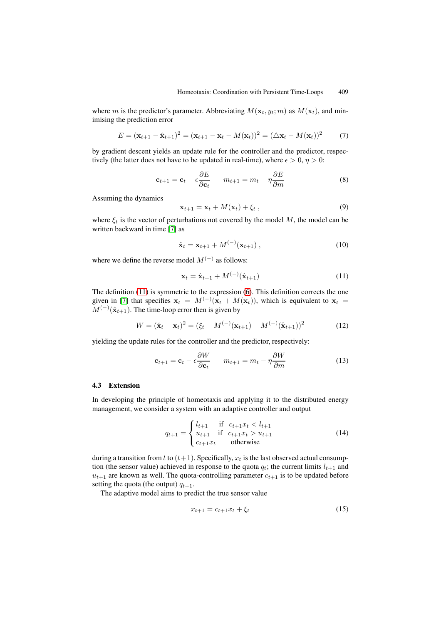where m is the predictor's parameter. Abbreviating  $M(\mathbf{x}_t, y_t; m)$  as  $M(\mathbf{x}_t)$ , and minimising the prediction error

$$
E = (\mathbf{x}_{t+1} - \hat{\mathbf{x}}_{t+1})^2 = (\mathbf{x}_{t+1} - \mathbf{x}_t - M(\mathbf{x}_t))^2 = (\Delta \mathbf{x}_t - M(\mathbf{x}_t))^2 \tag{7}
$$

by gradient descent yields an update rule for the controller and the predictor, respectively (the latter does not have to be updated in real-time), where  $\epsilon > 0$ ,  $\eta > 0$ :

$$
\mathbf{c}_{t+1} = \mathbf{c}_t - \epsilon \frac{\partial E}{\partial \mathbf{c}_t} \qquad m_{t+1} = m_t - \eta \frac{\partial E}{\partial m}
$$
(8)

Assuming the dynamics

$$
\mathbf{x}_{t+1} = \mathbf{x}_t + M(\mathbf{x}_t) + \xi_t \,, \tag{9}
$$

where  $\xi_t$  is the vector of perturbations not covered by the model M, the model can be written backward in time [\[7\]](#page-10-8) as

$$
\check{\mathbf{x}}_t = \mathbf{x}_{t+1} + M^{(-)}(\mathbf{x}_{t+1}), \qquad (10)
$$

where we define the reverse model  $M^{(-)}$  as follows:

$$
\mathbf{x}_t = \hat{\mathbf{x}}_{t+1} + M^{(-)}(\hat{\mathbf{x}}_{t+1})
$$
\n(11)

<span id="page-6-0"></span>The definition [\(11\)](#page-6-0) is symmetric to the expression [\(6\)](#page-5-4). This definition corrects the one given in [\[7\]](#page-10-8) that specifies  $\mathbf{x}_t = M^{(-)}(\mathbf{x}_t + M(\mathbf{x}_t))$ , which is equivalent to  $\mathbf{x}_t =$  $M^{(-)}(\hat{\mathbf{x}}_{t+1})$ . The time-loop error then is given by

$$
W = (\dot{\mathbf{x}}_t - \mathbf{x}_t)^2 = (\xi_t + M^{(-)}(\mathbf{x}_{t+1}) - M^{(-)}(\hat{\mathbf{x}}_{t+1}))^2
$$
(12)

yielding the update rules for the controller and the predictor, respectively:

$$
\mathbf{c}_{t+1} = \mathbf{c}_t - \epsilon \frac{\partial W}{\partial \mathbf{c}_t} \qquad m_{t+1} = m_t - \eta \frac{\partial W}{\partial m} \tag{13}
$$

### **4.3 Extension**

In developing the principle of homeotaxis and applying it to the distributed energy management, we consider a system with an adaptive controller and output

$$
q_{t+1} = \begin{cases} l_{t+1} & \text{if } c_{t+1}x_t < l_{t+1} \\ u_{t+1} & \text{if } c_{t+1}x_t > u_{t+1} \\ c_{t+1}x_t & \text{otherwise} \end{cases}
$$
(14)

<span id="page-6-1"></span>during a transition from t to  $(t+1)$ . Specifically,  $x_t$  is the last observed actual consumption (the sensor value) achieved in response to the quota  $q_t$ ; the current limits  $l_{t+1}$  and  $u_{t+1}$  are known as well. The quota-controlling parameter  $c_{t+1}$  is to be updated before setting the quota (the output)  $q_{t+1}$ .

<span id="page-6-2"></span>The adaptive model aims to predict the true sensor value

$$
x_{t+1} = c_{t+1}x_t + \xi_t \tag{15}
$$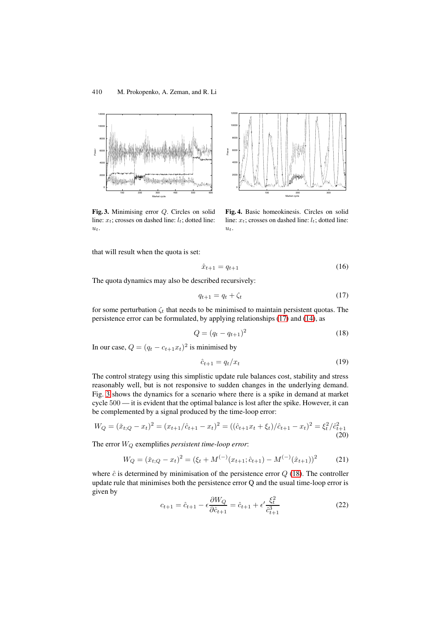

<span id="page-7-1"></span>**Fig. 3.** Minimising error Q. Circles on solid line:  $x_t$ ; crosses on dashed line:  $l_t$ ; dotted line: u*t*.



<span id="page-7-3"></span>**Fig. 4.** Basic homeokinesis. Circles on solid line:  $x_t$ ; crosses on dashed line:  $l_t$ ; dotted line: u*t*.

that will result when the quota is set:

$$
\hat{x}_{t+1} = q_{t+1} \tag{16}
$$

The quota dynamics may also be described recursively:

<span id="page-7-0"></span>
$$
q_{t+1} = q_t + \zeta_t \tag{17}
$$

for some perturbation  $\zeta_t$  that needs to be minimised to maintain persistent quotas. The persistence error can be formulated, by applying relationships [\(17\)](#page-7-0) and [\(14\)](#page-6-1), as

$$
Q = (q_t - q_{t+1})^2
$$
 (18)

<span id="page-7-2"></span>In our case,  $Q = (q_t - c_{t+1}x_t)^2$  is minimised by

<span id="page-7-5"></span>
$$
\hat{c}_{t+1} = q_t / x_t \tag{19}
$$

The control strategy using this simplistic update rule balances cost, stability and stress reasonably well, but is not responsive to sudden changes in the underlying demand. Fig. [3](#page-7-1) shows the dynamics for a scenario where there is a spike in demand at market cycle 500 — it is evident that the optimal balance is lost after the spike. However, it can be complemented by a signal produced by the time-loop error:

<span id="page-7-4"></span>
$$
W_Q = (\check{x}_{t;Q} - x_t)^2 = (x_{t+1}/\hat{c}_{t+1} - x_t)^2 = ((\hat{c}_{t+1}x_t + \xi_t)/\hat{c}_{t+1} - x_t)^2 = \xi_t^2/\hat{c}_{t+1}^2
$$
\n(20)

The error W*<sup>Q</sup>* exemplifies *persistent time-loop error*:

$$
W_Q = (\check{x}_{t;Q} - x_t)^2 = (\xi_t + M^{(-)}(x_{t+1}; \hat{c}_{t+1}) - M^{(-)}(\hat{x}_{t+1}))^2
$$
 (21)

where  $\hat{c}$  is determined by minimisation of the persistence error  $Q$  [\(18\)](#page-7-2). The controller update rule that minimises both the persistence error Q and the usual time-loop error is given by

$$
c_{t+1} = \hat{c}_{t+1} - \epsilon \frac{\partial W_Q}{\partial \hat{c}_{t+1}} = \hat{c}_{t+1} + \epsilon' \frac{\xi_t^2}{\hat{c}_{t+1}^3}
$$
(22)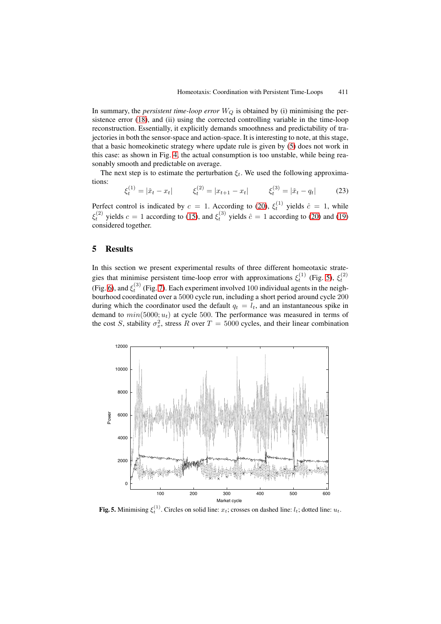In summary, the *persistent time-loop error* W*<sup>Q</sup>* is obtained by (i) minimising the persistence error [\(18\)](#page-7-2), and (ii) using the corrected controlling variable in the time-loop reconstruction. Essentially, it explicitly demands smoothness and predictability of trajectories in both the sensor-space and action-space. It is interesting to note, at this stage, that a basic homeokinetic strategy where update rule is given by [\(5\)](#page-5-5) does not work in this case: as shown in Fig. [4,](#page-7-3) the actual consumption is too unstable, while being reasonably smooth and predictable on average.

The next step is to estimate the perturbation  $\xi_t$ . We used the following approximations:

$$
\xi_t^{(1)} = |\check{x}_t - x_t| \qquad \xi_t^{(2)} = |x_{t+1} - x_t| \qquad \xi_t^{(3)} = |\check{x}_t - q_t| \qquad (23)
$$

Perfect control is indicated by  $c = 1$ . According to [\(20\)](#page-7-4),  $\xi_t^{(1)}$  yields  $\hat{c} = 1$ , while  $\xi_t^{(2)}$  yields  $c = 1$  according to [\(15\)](#page-6-2), and  $\xi_t^{(3)}$  yields  $\hat{c} = 1$  according to [\(20\)](#page-7-4) and [\(19\)](#page-7-5) considered together.

# **5 Results**

In this section we present experimental results of three different homeotaxic strategies that minimise persistent time-loop error with approximations  $\xi_t^{(1)}$  (Fig. [5\)](#page-8-0),  $\xi_t^{(2)}$ (Fig. [6\)](#page-9-0), and  $\xi_t^{(3)}$  (Fig. [7\)](#page-9-1). Each experiment involved 100 individual agents in the neighbourhood coordinated over a 5000 cycle run, including a short period around cycle 200 during which the coordinator used the default  $q_t = l_t$ , and an instantaneous spike in demand to min(5000; u*t*) at cycle 500. The performance was measured in terms of the cost *S*, stability  $\sigma_x^2$ , stress *R* over  $T = 5000$  cycles, and their linear combination



<span id="page-8-0"></span>**Fig. 5.** Minimising  $\xi_t^{(1)}$ . Circles on solid line:  $x_t$ ; crosses on dashed line:  $l_t$ ; dotted line:  $u_t$ .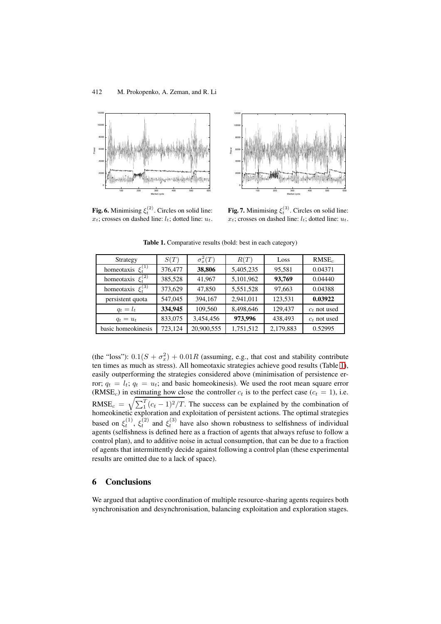



<span id="page-9-0"></span>**Fig. 6.** Minimising  $\xi_t^{(2)}$ . Circles on solid line:  $x_t$ ; crosses on dashed line:  $l_t$ ; dotted line:  $u_t$ .

<span id="page-9-1"></span>**Fig. 7.** Minimising  $\xi_t^{(3)}$ . Circles on solid line:  $x_t$ ; crosses on dashed line:  $l_t$ ; dotted line:  $u_t$ .

<span id="page-9-2"></span>

| Strategy                      | S(T)    | $\sigma_x^2(T)$ | R(T)      | Loss      | RMSE <sub>c</sub> |
|-------------------------------|---------|-----------------|-----------|-----------|-------------------|
| $\xi_t^{(1)}$<br>homeotaxis   | 376,477 | 38,806          | 5,405,235 | 95,581    | 0.04371           |
| $\xi_t^{(2)}$<br>homeotaxis   | 385,528 | 41,967          | 5,101,962 | 93,769    | 0.04440           |
| $\xi_{t}^{(3)}$<br>homeotaxis | 373,629 | 47,850          | 5,551,528 | 97,663    | 0.04388           |
| persistent quota              | 547,045 | 394,167         | 2,941,011 | 123,531   | 0.03922           |
| $q_t = l_t$                   | 334,945 | 109,560         | 8,498,646 | 129,437   | $c_t$ not used    |
| $q_t = u_t$                   | 833,075 | 3,454,456       | 973,996   | 438,493   | $c_t$ not used    |
| basic homeokinesis            | 723,124 | 20,900,555      | 1,751,512 | 2,179,883 | 0.52995           |

**Table 1.** Comparative results (bold: best in each category)

(the "loss"):  $0.1(S + \sigma_x^2) + 0.01R$  (assuming, e.g., that cost and stability contribute ten times as much as stress). All homeotaxic strategies achieve good results (Table [1\)](#page-9-2), easily outperforming the strategies considered above (minimisation of persistence error;  $q_t = l_t$ ;  $q_t = u_t$ ; and basic homeokinesis). We used the root mean square error (RMSE<sub>c</sub>) in estimating how close the controller  $c_t$  is to the perfect case ( $c_t = 1$ ), i.e. RMSE<sub>c</sub> =  $\sqrt{\sum_{1}^{T}(c_t-1)^2/T}$ . The success can be explained by the combination of homeokinetic exploration and exploitation of persistent actions. The optimal strategies based on  $\xi_t^{(1)}$ ,  $\xi_t^{(2)}$  and  $\xi_t^{(3)}$  have also shown robustness to selfishness of individual agents (selfishness is defined here as a fraction of agents that always refuse to follow a control plan), and to additive noise in actual consumption, that can be due to a fraction of agents that intermittently decide against following a control plan (these experimental results are omitted due to a lack of space).

# **6 Conclusions**

We argued that adaptive coordination of multiple resource-sharing agents requires both synchronisation and desynchronisation, balancing exploitation and exploration stages.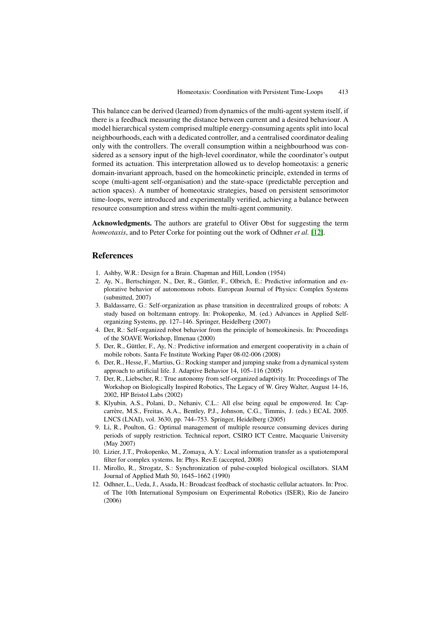This balance can be derived (learned) from dynamics of the multi-agent system itself, if there is a feedback measuring the distance between current and a desired behaviour. A model hierarchical system comprised multiple energy-consuming agents split into local neighbourhoods, each with a dedicated controller, and a centralised coordinator dealing only with the controllers. The overall consumption within a neighbourhood was considered as a sensory input of the high-level coordinator, while the coordinator's output formed its actuation. This interpretation allowed us to develop homeotaxis: a generic domain-invariant approach, based on the homeokinetic principle, extended in terms of scope (multi-agent self-organisation) and the state-space (predictable perception and action spaces). A number of homeotaxic strategies, based on persistent sensorimotor time-loops, were introduced and experimentally verified, achieving a balance between resource consumption and stress within the multi-agent community.

**Acknowledgments.** The authors are grateful to Oliver Obst for suggesting the term *homeotaxis*, and to Peter Corke for pointing out the work of Odhner *et al.* [\[12\]](#page-10-3).

## <span id="page-10-12"></span><span id="page-10-11"></span><span id="page-10-2"></span>**References**

- 1. Ashby, W.R.: Design for a Brain. Chapman and Hill, London (1954)
- 2. Ay, N., Bertschinger, N., Der, R., Güttler, F., Olbrich, E.: Predictive information and explorative behavior of autonomous robots. European Journal of Physics: Complex Systems (submitted, 2007)
- <span id="page-10-0"></span>3. Baldassarre, G.: Self-organization as phase transition in decentralized groups of robots: A study based on boltzmann entropy. In: Prokopenko, M. (ed.) Advances in Applied Selforganizing Systems, pp. 127–146. Springer, Heidelberg (2007)
- <span id="page-10-7"></span>4. Der, R.: Self-organized robot behavior from the principle of homeokinesis. In: Proceedings of the SOAVE Workshop, Ilmenau (2000)
- <span id="page-10-10"></span>5. Der, R., Güttler, F., Ay, N.: Predictive information and emergent cooperativity in a chain of mobile robots. Santa Fe Institute Working Paper 08-02-006 (2008)
- <span id="page-10-9"></span>6. Der, R., Hesse, F., Martius, G.: Rocking stamper and jumping snake from a dynamical system approach to artificial life. J. Adaptive Behavior 14, 105–116 (2005)
- <span id="page-10-8"></span>7. Der, R., Liebscher, R.: True autonomy from self-organized adaptivity. In: Proceedings of The Workshop on Biologically Inspired Robotics, The Legacy of W. Grey Walter, August 14-16, 2002, HP Bristol Labs (2002)
- <span id="page-10-5"></span>8. Klyubin, A.S., Polani, D., Nehaniv, C.L.: All else being equal be empowered. In: Capcarrère, M.S., Freitas, A.A., Bentley, P.J., Johnson, C.G., Timmis, J. (eds.) ECAL 2005. LNCS (LNAI), vol. 3630, pp. 744–753. Springer, Heidelberg (2005)
- <span id="page-10-4"></span>9. Li, R., Poulton, G.: Optimal management of multiple resource consuming devices during periods of supply restriction. Technical report, CSIRO ICT Centre, Macquarie University (May 2007)
- <span id="page-10-6"></span>10. Lizier, J.T., Prokopenko, M., Zomaya, A.Y.: Local information transfer as a spatiotemporal filter for complex systems. In: Phys. Rev.E (accepted, 2008)
- <span id="page-10-1"></span>11. Mirollo, R., Strogatz, S.: Synchronization of pulse-coupled biological oscillators. SIAM Journal of Applied Math 50, 1645–1662 (1990)
- <span id="page-10-3"></span>12. Odhner, L., Ueda, J., Asada, H.: Broadcast feedback of stochastic cellular actuators. In: Proc. of The 10th International Symposium on Experimental Robotics (ISER), Rio de Janeiro (2006)